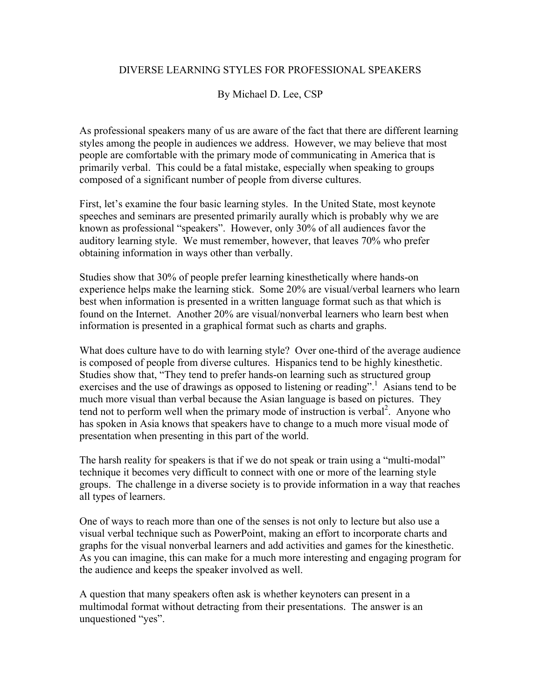## DIVERSE LEARNING STYLES FOR PROFESSIONAL SPEAKERS

## By Michael D. Lee, CSP

As professional speakers many of us are aware of the fact that there are different learning styles among the people in audiences we address. However, we may believe that most people are comfortable with the primary mode of communicating in America that is primarily verbal. This could be a fatal mistake, especially when speaking to groups composed of a significant number of people from diverse cultures.

First, let's examine the four basic learning styles. In the United State, most keynote speeches and seminars are presented primarily aurally which is probably why we are known as professional "speakers". However, only 30% of all audiences favor the auditory learning style. We must remember, however, that leaves 70% who prefer obtaining information in ways other than verbally.

Studies show that 30% of people prefer learning kinesthetically where hands-on experience helps make the learning stick. Some 20% are visual/verbal learners who learn best when information is presented in a written language format such as that which is found on the Internet. Another 20% are visual/nonverbal learners who learn best when information is presented in a graphical format such as charts and graphs.

What does culture have to do with learning style? Over one-third of the average audience is composed of people from diverse cultures. Hispanics tend to be highly kinesthetic. Studies show that, "They tend to prefer hands-on learning such as structured group exercises and the use of drawings as opposed to listening or reading".<sup>1</sup> Asians tend to be much more visual than verbal because the Asian language is based on pictures. They tend not to perform well when the primary mode of instruction is verbal<sup>2</sup>. Anyone who has spoken in Asia knows that speakers have to change to a much more visual mode of presentation when presenting in this part of the world.

The harsh reality for speakers is that if we do not speak or train using a "multi-modal" technique it becomes very difficult to connect with one or more of the learning style groups. The challenge in a diverse society is to provide information in a way that reaches all types of learners.

One of ways to reach more than one of the senses is not only to lecture but also use a visual verbal technique such as PowerPoint, making an effort to incorporate charts and graphs for the visual nonverbal learners and add activities and games for the kinesthetic. As you can imagine, this can make for a much more interesting and engaging program for the audience and keeps the speaker involved as well.

A question that many speakers often ask is whether keynoters can present in a multimodal format without detracting from their presentations. The answer is an unquestioned "yes".